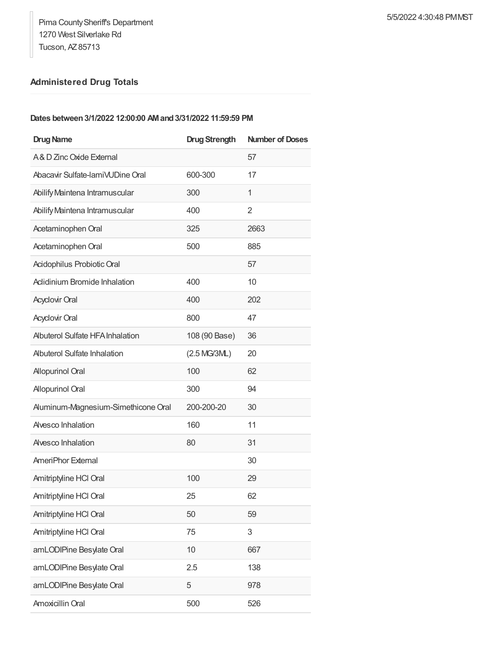## **Administered Drug Totals**

## **Dates between3/1/2022 12:00:00 AMand3/31/2022 11:59:59 PM**

| <b>Drug Name</b>                        | <b>Drug Strength</b> | <b>Number of Doses</b> |
|-----------------------------------------|----------------------|------------------------|
| A& D Zinc Oxide External                |                      | 57                     |
| Abacavir Sulfate-lamiVUDine Oral        | 600-300              | 17                     |
| Abilify Maintena Intramuscular          | 300                  | 1                      |
| Abilify Maintena Intramuscular          | 400                  | 2                      |
| Acetaminophen Oral                      | 325                  | 2663                   |
| Acetaminophen Oral                      | 500                  | 885                    |
| Acidophilus Probiotic Oral              |                      | 57                     |
| Aclidinium Bromide Inhalation           | 400                  | 10                     |
| <b>Acyclovir Oral</b>                   | 400                  | 202                    |
| <b>Acyclovir Oral</b>                   | 800                  | 47                     |
| <b>Albuterol Sulfate HFA Inhalation</b> | 108 (90 Base)        | 36                     |
| <b>Abuterol Sulfate Inhalation</b>      | (2.5 MG/3ML)         | 20                     |
| <b>Allopurinol Oral</b>                 | 100                  | 62                     |
| <b>Allopurinol Oral</b>                 | 300                  | 94                     |
| Auminum-Magnesium-Simethicone Oral      | 200-200-20           | 30                     |
| Alvesco Inhalation                      | 160                  | 11                     |
| Alvesco Inhalation                      | 80                   | 31                     |
| AmeriPhor External                      |                      | 30                     |
| Amitriptyline HCl Oral                  | 100                  | 29                     |
| Amitriptyline HCI Oral                  | 25                   | 62                     |
| Amitriptyline HCl Oral                  | 50                   | 59                     |
| Amitriptyline HCl Oral                  | 75                   | 3                      |
| amLODIPine Besylate Oral                | 10                   | 667                    |
| amLODIPine Besylate Oral                | 2.5                  | 138                    |
| amLODIPine Besylate Oral                | 5                    | 978                    |
| Amoxicillin Oral                        | 500                  | 526                    |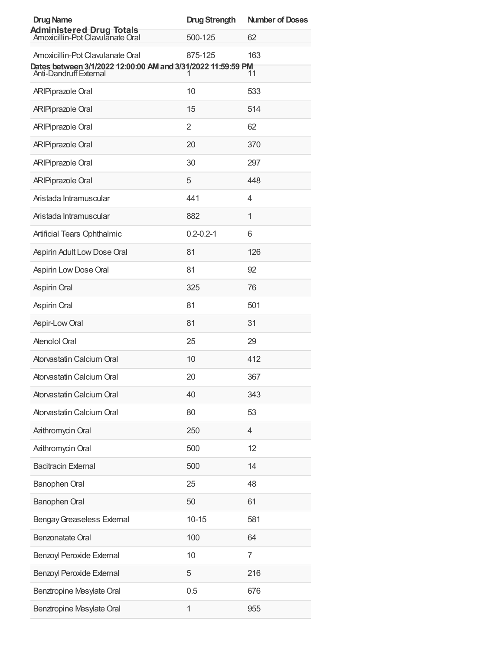| <b>Drug Name</b>                                                                                                                  | <b>Drug Strength</b> | <b>Number of Doses</b> |
|-----------------------------------------------------------------------------------------------------------------------------------|----------------------|------------------------|
| <b>Administered Drug Totals</b><br>Amoxicillin-Pot Clavulanate Oral                                                               | 500-125              | 62                     |
| Amoxicillin-Pot Clavulanate Oral<br>Dates between 3/1/2022 12:00:00 AM and 3/31/2022 11:59:59 PM<br><b>Anti-Dandruff External</b> | 875-125<br>1         | 163<br>11              |
| <b>ARIPiprazole Oral</b>                                                                                                          | 10                   | 533                    |
| <b>ARIPiprazole Oral</b>                                                                                                          | 15                   | 514                    |
| <b>ARIPiprazole Oral</b>                                                                                                          | $\overline{2}$       | 62                     |
| <b>ARIPiprazole Oral</b>                                                                                                          | 20                   | 370                    |
| <b>ARIPiprazole Oral</b>                                                                                                          | 30                   | 297                    |
| <b>ARIPiprazole Oral</b>                                                                                                          | 5                    | 448                    |
| Aristada Intramuscular                                                                                                            | 441                  | $\overline{4}$         |
| Aristada Intramuscular                                                                                                            | 882                  | $\mathbf{1}$           |
| Artificial Tears Ophthalmic                                                                                                       | $0.2 - 0.2 - 1$      | 6                      |
| Aspirin Adult Low Dose Oral                                                                                                       | 81                   | 126                    |
| Aspirin Low Dose Oral                                                                                                             | 81                   | 92                     |
| Aspirin Oral                                                                                                                      | 325                  | 76                     |
| Aspirin Oral                                                                                                                      | 81                   | 501                    |
| Aspir-Low Oral                                                                                                                    | 81                   | 31                     |
| Atenolol Oral                                                                                                                     | 25                   | 29                     |
| Atorvastatin Calcium Oral                                                                                                         | 10                   | 412                    |
| Atorvastatin Calcium Oral                                                                                                         | 20                   | 367                    |
| Atorvastatin Calcium Oral                                                                                                         | 40                   | 343                    |
| Atorvastatin Calcium Oral                                                                                                         | 80                   | 53                     |
| Azithromycin Oral                                                                                                                 | 250                  | 4                      |
| Azithromycin Oral                                                                                                                 | 500                  | 12                     |
| <b>Bacitracin External</b>                                                                                                        | 500                  | 14                     |
| Banophen Oral                                                                                                                     | 25                   | 48                     |
| Banophen Oral                                                                                                                     | 50                   | 61                     |
| <b>Bengay Greaseless External</b>                                                                                                 | $10 - 15$            | 581                    |
| Benzonatate Oral                                                                                                                  | 100                  | 64                     |
| Benzoyl Peroxide External                                                                                                         | 10                   | 7                      |
| Benzoyl Peroxide External                                                                                                         | 5                    | 216                    |
| Benztropine Mesylate Oral                                                                                                         | 0.5                  | 676                    |
| Benztropine Mesylate Oral                                                                                                         | 1                    | 955                    |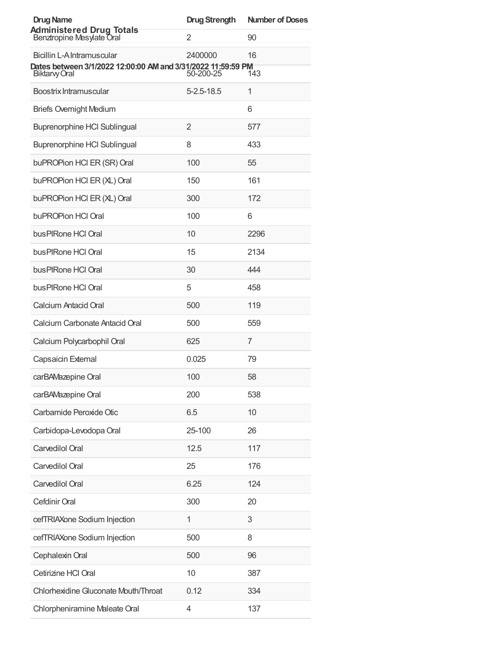| <b>Drug Name</b>                                                                           | <b>Drug Strength</b> | <b>Number of Doses</b> |
|--------------------------------------------------------------------------------------------|----------------------|------------------------|
| <b>Administered Drug Totals</b><br>Benztropine Mesylate Oral                               | 2                    | 90                     |
| Bicillin L-A Intramuscular<br>Dates between 3/1/2022 12:00:00 AM and 3/31/2022 11:59:59 PM | 2400000              | 16                     |
| Biktarvy Oral                                                                              | 50-200-25            | 143                    |
| Boostrix Intramuscular                                                                     | 5-2.5-18.5           | 1                      |
| <b>Briefs Overnight Medium</b>                                                             |                      | 6                      |
| <b>Buprenorphine HCI Sublingual</b>                                                        | 2                    | 577                    |
| Buprenorphine HCI Sublingual                                                               | 8                    | 433                    |
| buPROPion HCI ER (SR) Oral                                                                 | 100                  | 55                     |
| buPROPion HCI ER (XL) Oral                                                                 | 150                  | 161                    |
| buPROPion HCI ER (XL) Oral                                                                 | 300                  | 172                    |
| buPROPion HCI Oral                                                                         | 100                  | 6                      |
| bus PIRone HCI Oral                                                                        | 10                   | 2296                   |
| bus PIRone HCI Oral                                                                        | 15                   | 2134                   |
| bus PIRone HCI Oral                                                                        | 30                   | 444                    |
| bus PIRone HCI Oral                                                                        | 5                    | 458                    |
| Calcium Antacid Oral                                                                       | 500                  | 119                    |
| Calcium Carbonate Antacid Oral                                                             | 500                  | 559                    |
| Calcium Polycarbophil Oral                                                                 | 625                  | 7                      |
| Capsaicin External                                                                         | 0.025                | 79                     |
| carBAMazepine Oral                                                                         | 100                  | 58                     |
| carBAMazepine Oral                                                                         | 200                  | 538                    |
| Carbamide Peroxide Otic                                                                    | 6.5                  | 10                     |
| Carbidopa-Levodopa Oral                                                                    | 25-100               | 26                     |
| Carvedilol Oral                                                                            | 12.5                 | 117                    |
| Carvedilol Oral                                                                            | 25                   | 176                    |
| Carvedilol Oral                                                                            | 6.25                 | 124                    |
| Cefdinir Oral                                                                              | 300                  | 20                     |
| cefTRIAXone Sodium Injection                                                               | 1                    | 3                      |
| cefTRIAXone Sodium Injection                                                               | 500                  | 8                      |
| Cephalexin Oral                                                                            | 500                  | 96                     |
| Cetirizine HCI Oral                                                                        | 10                   | 387                    |
| Chlorhexidine Gluconate Mouth/Throat                                                       | 0.12                 | 334                    |
| Chlorpheniramine Maleate Oral                                                              | 4                    | 137                    |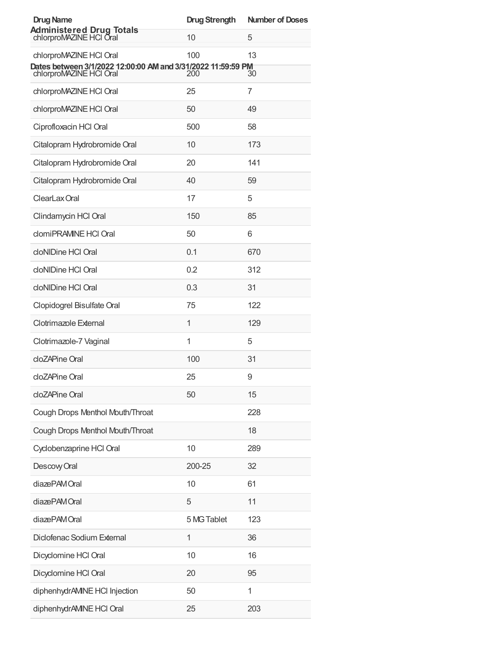| <b>Drug Name</b>                                                                        | <b>Drug Strength</b> | <b>Number of Doses</b> |
|-----------------------------------------------------------------------------------------|----------------------|------------------------|
| <b>Administered Drug Totals</b><br>chlorproMAZINE HCI Oral                              | 10                   | 5                      |
| chlorproMAZINE HCI Oral                                                                 | 100                  | 13                     |
| Dates between 3/1/2022 12:00:00 AM and 3/31/2022 11:59:59 PM<br>chlorproMAZINE HCI Oral | 200                  | 30                     |
| chlorproMAZINE HCI Oral                                                                 | 25                   | 7                      |
| chlorproMAZINE HCI Oral                                                                 | 50                   | 49                     |
| Ciprofloxacin HCl Oral                                                                  | 500                  | 58                     |
| Citalopram Hydrobromide Oral                                                            | 10                   | 173                    |
| Citalopram Hydrobromide Oral                                                            | 20                   | 141                    |
| Citalopram Hydrobromide Oral                                                            | 40                   | 59                     |
| ClearLax Oral                                                                           | 17                   | 5                      |
| Clindamycin HCl Oral                                                                    | 150                  | 85                     |
| clomiPRAMINE HCI Oral                                                                   | 50                   | 6                      |
| cloNIDine HCI Oral                                                                      | 0.1                  | 670                    |
| cloNIDine HCI Oral                                                                      | 0.2                  | 312                    |
| cloNIDine HCI Oral                                                                      | 0.3                  | 31                     |
| Clopidogrel Bisulfate Oral                                                              | 75                   | 122                    |
| Clotrimazole External                                                                   | 1                    | 129                    |
| Clotrimazole-7 Vaginal                                                                  | 1                    | 5                      |
| cloZAPine Oral                                                                          | 100                  | 31                     |
| cloZAPine Oral                                                                          | 25                   | 9                      |
| cloZAPine Oral                                                                          | 50                   | 15                     |
| Cough Drops Menthol Mouth/Throat                                                        |                      | 228                    |
| Cough Drops Menthol Mouth/Throat                                                        |                      | 18                     |
| Cyclobenzaprine HCl Oral                                                                | 10                   | 289                    |
| Descovy Oral                                                                            | 200-25               | 32                     |
| diazePAM Oral                                                                           | 10                   | 61                     |
| diazePAMOral                                                                            | 5                    | 11                     |
| diazePAMOral                                                                            | 5 MG Tablet          | 123                    |
| Diclofenac Sodium External                                                              | 1                    | 36                     |
| Dicyclomine HCI Oral                                                                    | 10                   | 16                     |
| Dicyclomine HCI Oral                                                                    | 20                   | 95                     |
| diphenhydrAMINE HCI Injection                                                           | 50                   | 1                      |
| diphenhydrAMINE HCI Oral                                                                | 25                   | 203                    |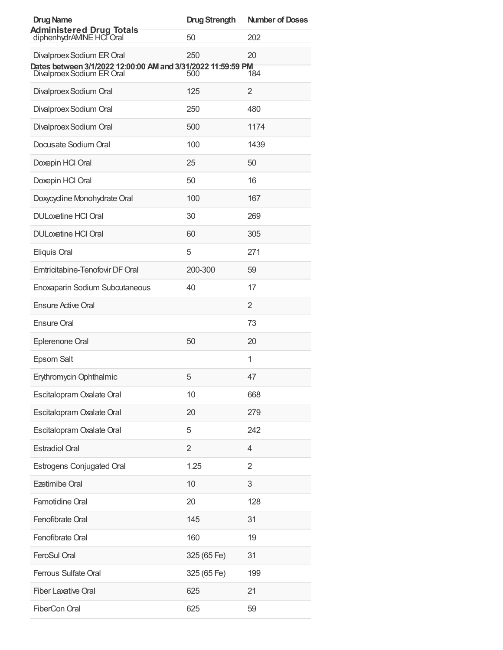| <b>Drug Name</b>                                                                          | <b>Drug Strength</b> | <b>Number of Doses</b> |
|-------------------------------------------------------------------------------------------|----------------------|------------------------|
| <b>Administered Drug Totals</b><br>diphenhydrAMINE HCI Oral                               | 50                   | 202                    |
| Divalproex Sodium ER Oral<br>Dates between 3/1/2022 12:00:00 AM and 3/31/2022 11:59:59 PM | 250                  | 20                     |
| Divalproex Sodium ER Oral                                                                 | 500                  | 184                    |
| Divalproex Sodium Oral                                                                    | 125                  | 2                      |
| Divalproex Sodium Oral                                                                    | 250                  | 480                    |
| Divalproex Sodium Oral                                                                    | 500                  | 1174                   |
| Docusate Sodium Oral                                                                      | 100                  | 1439                   |
| Doxepin HCl Oral                                                                          | 25                   | 50                     |
| Doxepin HCl Oral                                                                          | 50                   | 16                     |
| Doxycycline Monohydrate Oral                                                              | 100                  | 167                    |
| <b>DULoxetine HCI Oral</b>                                                                | 30                   | 269                    |
| <b>DULoxetine HCI Oral</b>                                                                | 60                   | 305                    |
| Eliquis Oral                                                                              | 5                    | 271                    |
| Emtricitabine-Tenofovir DF Oral                                                           | 200-300              | 59                     |
| Enoxaparin Sodium Subcutaneous                                                            | 40                   | 17                     |
| <b>Ensure Active Oral</b>                                                                 |                      | 2                      |
| <b>Ensure Oral</b>                                                                        |                      | 73                     |
| Eplerenone Oral                                                                           | 50                   | 20                     |
| Epsom Salt                                                                                |                      | 1                      |
| Erythromycin Ophthalmic                                                                   | 5                    | 47                     |
| Escitalopram Oxalate Oral                                                                 | 10                   | 668                    |
| Escitalopram Oxalate Oral                                                                 | 20                   | 279                    |
| Escitalopram Oxalate Oral                                                                 | 5                    | 242                    |
| <b>Estradiol Oral</b>                                                                     | 2                    | 4                      |
| <b>Estrogens Conjugated Oral</b>                                                          | 1.25                 | $\overline{2}$         |
| <b>Ezetimibe Oral</b>                                                                     | 10                   | 3                      |
| Famotidine Oral                                                                           | 20                   | 128                    |
| Fenofibrate Oral                                                                          | 145                  | 31                     |
| Fenofibrate Oral                                                                          | 160                  | 19                     |
| FeroSul Oral                                                                              | 325 (65 Fe)          | 31                     |
| <b>Ferrous Sulfate Oral</b>                                                               | 325 (65 Fe)          | 199                    |
| <b>Fiber Laxative Oral</b>                                                                | 625                  | 21                     |
| <b>FiberCon Oral</b>                                                                      | 625                  | 59                     |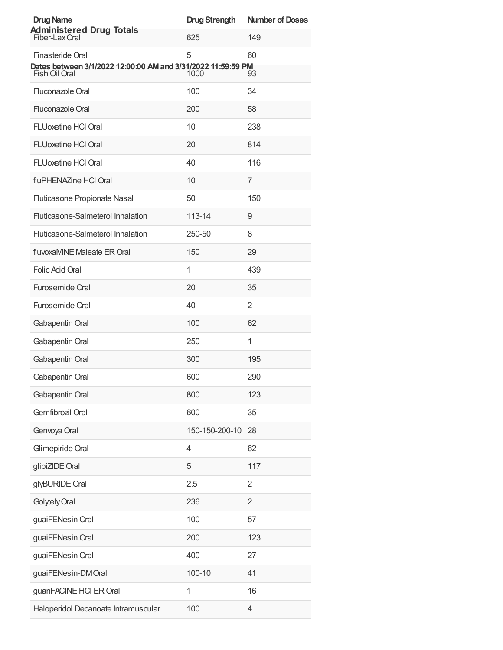| <b>Drug Name</b>                                                                                  | <b>Drug Strength</b> | <b>Number of Doses</b> |
|---------------------------------------------------------------------------------------------------|----------------------|------------------------|
| <b>Administered Drug Totals</b><br>Fiber-Lax Oral                                                 | 625                  | 149                    |
| Finasteride Oral<br>Dates between 3/1/2022 12:00:00 AM and 3/31/2022 11:59:59 PM<br>Fish Oil Oral | 5<br>1000            | 60<br>93               |
| Fluconazole Oral                                                                                  | 100                  | 34                     |
| Fluconazole Oral                                                                                  | 200                  | 58                     |
| <b>FLUoxetine HCI Oral</b>                                                                        | 10                   | 238                    |
| <b>FLUoxetine HCI Oral</b>                                                                        | 20                   | 814                    |
| <b>FLUoxetine HCI Oral</b>                                                                        | 40                   | 116                    |
| fluPHENAZine HCl Oral                                                                             | 10                   | 7                      |
| Fluticasone Propionate Nasal                                                                      | 50                   | 150                    |
| Fluticasone-Salmeterol Inhalation                                                                 | 113-14               | 9                      |
| Fluticasone-Salmeterol Inhalation                                                                 | 250-50               | 8                      |
| fluvoxaMINE Maleate ER Oral                                                                       | 150                  | 29                     |
| Folic Acid Oral                                                                                   | 1                    | 439                    |
| <b>Furosemide Oral</b>                                                                            | 20                   | 35                     |
| <b>Furosemide Oral</b>                                                                            | 40                   | 2                      |
| Gabapentin Oral                                                                                   | 100                  | 62                     |
| Gabapentin Oral                                                                                   | 250                  | 1                      |
| Gabapentin Oral                                                                                   | 300                  | 195                    |
| Gabapentin Oral                                                                                   | 600                  | 290                    |
| Gabapentin Oral                                                                                   | 800                  | 123                    |
| Gemfibrozil Oral                                                                                  | 600                  | 35                     |
| Genvoya Oral                                                                                      | 150-150-200-10       | 28                     |
| Glimepiride Oral                                                                                  | 4                    | 62                     |
| glipiZIDE Oral                                                                                    | 5                    | 117                    |
| glyBURIDE Oral                                                                                    | 2.5                  | $\overline{2}$         |
| Golytely Oral                                                                                     | 236                  | $\overline{2}$         |
| guaiFENesin Oral                                                                                  | 100                  | 57                     |
| guaiFENesin Oral                                                                                  | 200                  | 123                    |
| guaiFENesin Oral                                                                                  | 400                  | 27                     |
| guaiFENesin-DMOral                                                                                | 100-10               | 41                     |
| guanFACINE HCI ER Oral                                                                            | 1                    | 16                     |
| Haloperidol Decanoate Intramuscular                                                               | 100                  | 4                      |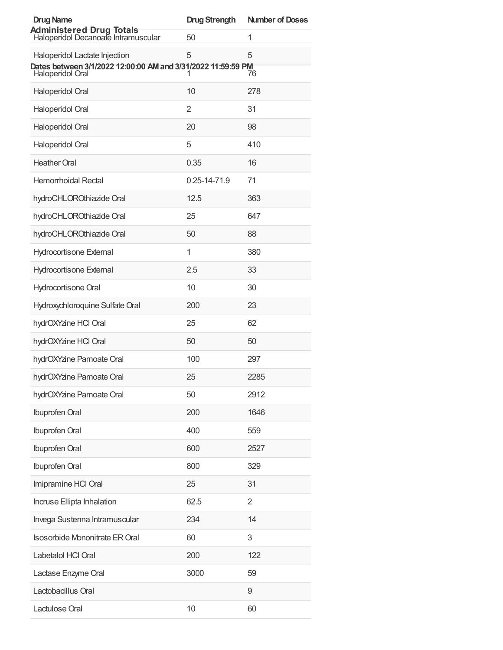| <b>Drug Name</b>                                                                                                  | <b>Drug Strength</b> | <b>Number of Doses</b> |
|-------------------------------------------------------------------------------------------------------------------|----------------------|------------------------|
| <b>Administered Drug Totals</b><br>Haloperidol Decanoate Intramuscular                                            | 50                   | 1                      |
| Haloperidol Lactate Injection<br>Dates between 3/1/2022 12:00:00 AM and 3/31/2022 11:59:59 PM<br>Haloperidol Oral | 5<br>1               | 5<br>76                |
|                                                                                                                   |                      |                        |
| Haloperidol Oral                                                                                                  | 10                   | 278                    |
| Haloperidol Oral                                                                                                  | 2                    | 31                     |
| Haloperidol Oral                                                                                                  | 20                   | 98                     |
| Haloperidol Oral                                                                                                  | 5                    | 410                    |
| <b>Heather Oral</b>                                                                                               | 0.35                 | 16                     |
| <b>Hemorrhoidal Rectal</b>                                                                                        | 0.25-14-71.9         | 71                     |
| hydroCHLOROthiazide Oral                                                                                          | 12.5                 | 363                    |
| hydroCHLOROthiazide Oral                                                                                          | 25                   | 647                    |
| hydroCHLOROthiazide Oral                                                                                          | 50                   | 88                     |
| <b>Hydrocortisone External</b>                                                                                    | 1                    | 380                    |
| Hydrocortisone External                                                                                           | 2.5                  | 33                     |
| Hydrocortisone Oral                                                                                               | 10                   | 30                     |
| Hydroxychloroquine Sulfate Oral                                                                                   | 200                  | 23                     |
| hydrOXYzine HCl Oral                                                                                              | 25                   | 62                     |
| hydrOXYzine HCl Oral                                                                                              | 50                   | 50                     |
| hydrOXYzine Pamoate Oral                                                                                          | 100                  | 297                    |
| hydrOXYzine Pamoate Oral                                                                                          | 25                   | 2285                   |
| hydrOXYzine Pamoate Oral                                                                                          | 50                   | 2912                   |
| Ibuprofen Oral                                                                                                    | 200                  | 1646                   |
| Ibuprofen Oral                                                                                                    | 400                  | 559                    |
| Ibuprofen Oral                                                                                                    | 600                  | 2527                   |
| Ibuprofen Oral                                                                                                    | 800                  | 329                    |
| Imipramine HCI Oral                                                                                               | 25                   | 31                     |
| Incruse Ellipta Inhalation                                                                                        | 62.5                 | $\overline{2}$         |
| Invega Sustenna Intramuscular                                                                                     | 234                  | 14                     |
| <b>Isosorbide Mononitrate ER Oral</b>                                                                             | 60                   | 3                      |
| Labetalol HCl Oral                                                                                                | 200                  | 122                    |
| Lactase Enzyme Oral                                                                                               | 3000                 | 59                     |
| Lactobacillus Oral                                                                                                |                      | 9                      |
| Lactulose Oral                                                                                                    | 10                   | 60                     |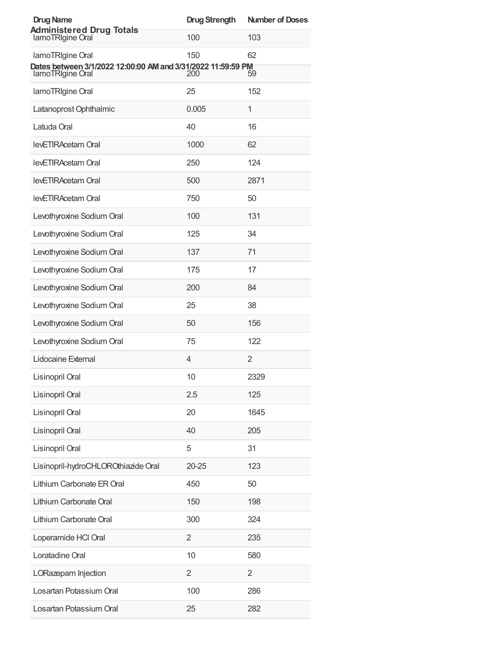| <b>Drug Name</b>                                                                 | <b>Drug Strength</b> | <b>Number of Doses</b> |
|----------------------------------------------------------------------------------|----------------------|------------------------|
| <b>Administered Drug Totals</b><br>lamoTRIgine Oral                              | 100                  | 103                    |
| lamoTRIgine Oral                                                                 | 150                  | 62                     |
| Dates between 3/1/2022 12:00:00 AM and 3/31/2022 11:59:59 PM<br>lamoTRIgine Oral | 200                  | 59                     |
| lamoTRIgine Oral                                                                 | 25                   | 152                    |
| Latanoprost Ophthalmic                                                           | 0.005                | 1                      |
| Latuda Oral                                                                      | 40                   | 16                     |
| levETIRAcetam Oral                                                               | 1000                 | 62                     |
| levETIRAcetam Oral                                                               | 250                  | 124                    |
| levETIRAcetam Oral                                                               | 500                  | 2871                   |
| levETIRAcetam Oral                                                               | 750                  | 50                     |
| Levothyroxine Sodium Oral                                                        | 100                  | 131                    |
| Levothyroxine Sodium Oral                                                        | 125                  | 34                     |
| Levothyroxine Sodium Oral                                                        | 137                  | 71                     |
| Levothyroxine Sodium Oral                                                        | 175                  | 17                     |
| Levothyroxine Sodium Oral                                                        | 200                  | 84                     |
| Levothyroxine Sodium Oral                                                        | 25                   | 38                     |
| Levothyroxine Sodium Oral                                                        | 50                   | 156                    |
| Levothyroxine Sodium Oral                                                        | 75                   | 122                    |
| Lidocaine External                                                               | $\overline{4}$       | $\overline{2}$         |
| Lisinopril Oral                                                                  | 10                   | 2329                   |
| Lisinopril Oral                                                                  | 2.5                  | 125                    |
| Lisinopril Oral                                                                  | 20                   | 1645                   |
| Lisinopril Oral                                                                  | 40                   | 205                    |
| Lisinopril Oral                                                                  | 5                    | 31                     |
| Lisinopril-hydroCHLOROthiazide Oral                                              | $20 - 25$            | 123                    |
| Lithium Carbonate ER Oral                                                        | 450                  | 50                     |
| Lithium Carbonate Oral                                                           | 150                  | 198                    |
| Lithium Carbonate Oral                                                           | 300                  | 324                    |
| Loperamide HCI Oral                                                              | $\overline{2}$       | 235                    |
| Loratadine Oral                                                                  | 10                   | 580                    |
| LORazepam Injection                                                              | $\overline{2}$       | $\overline{2}$         |
| Losartan Potassium Oral                                                          | 100                  | 286                    |
| Losartan Potassium Oral                                                          | 25                   | 282                    |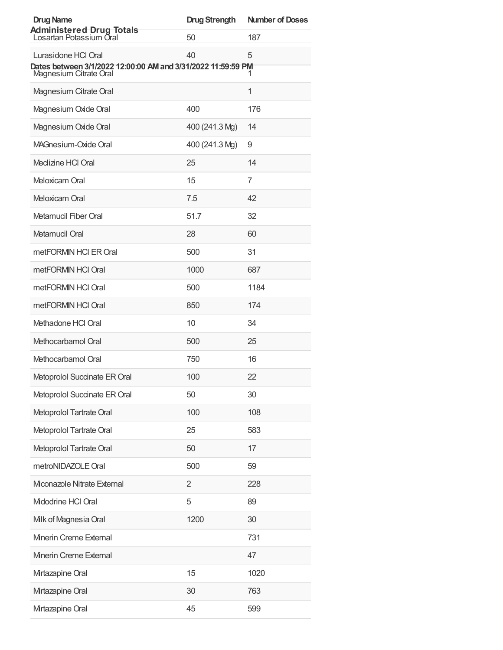| <b>Drug Name</b>                                                                    | <b>Drug Strength</b> | <b>Number of Doses</b> |
|-------------------------------------------------------------------------------------|----------------------|------------------------|
| <b>Administered Drug Totals</b><br>Losartan Potassium Oral                          | 50                   | 187                    |
| Lurasidone HCI Oral<br>Dates between 3/1/2022 12:00:00 AM and 3/31/2022 11:59:59 PM | 40                   | 5                      |
| Magnesium Citrate Oral                                                              |                      | 1                      |
| Magnesium Citrate Oral                                                              |                      | $\mathbf 1$            |
| Magnesium Oxide Oral                                                                | 400                  | 176                    |
| Magnesium Oxide Oral                                                                | 400 (241.3 Mg)       | 14                     |
| MAGnesium-Oxide Oral                                                                | 400 (241.3 Mg)       | 9                      |
| Meclizine HCI Oral                                                                  | 25                   | 14                     |
| Meloxicam Oral                                                                      | 15                   | 7                      |
| Meloxicam Oral                                                                      | 7.5                  | 42                     |
| Metamucil Fiber Oral                                                                | 51.7                 | 32                     |
| Metamucil Oral                                                                      | 28                   | 60                     |
| metFORMIN HCI ER Oral                                                               | 500                  | 31                     |
| metFORMIN HCI Oral                                                                  | 1000                 | 687                    |
| metFORMIN HCI Oral                                                                  | 500                  | 1184                   |
| metFORMIN HCI Oral                                                                  | 850                  | 174                    |
| Methadone HCI Oral                                                                  | 10                   | 34                     |
| Methocarbamol Oral                                                                  | 500                  | 25                     |
| Methocarbamol Oral                                                                  | 750                  | 16                     |
| Metoprolol Succinate ER Oral                                                        | 100                  | 22                     |
| Metoprolol Succinate ER Oral                                                        | 50                   | 30                     |
| Metoprolol Tartrate Oral                                                            | 100                  | 108                    |
| Metoprolol Tartrate Oral                                                            | 25                   | 583                    |
| Metoprolol Tartrate Oral                                                            | 50                   | 17                     |
| metroNIDAZOLE Oral                                                                  | 500                  | 59                     |
| Mconazole Nitrate External                                                          | 2                    | 228                    |
| Midodrine HCI Oral                                                                  | 5                    | 89                     |
| Milk of Magnesia Oral                                                               | 1200                 | 30                     |
| Minerin Creme External                                                              |                      | 731                    |
| Minerin Creme External                                                              |                      | 47                     |
| Mrtazapine Oral                                                                     | 15                   | 1020                   |
| Mrtazapine Oral                                                                     | 30                   | 763                    |
| Mrtazapine Oral                                                                     | 45                   | 599                    |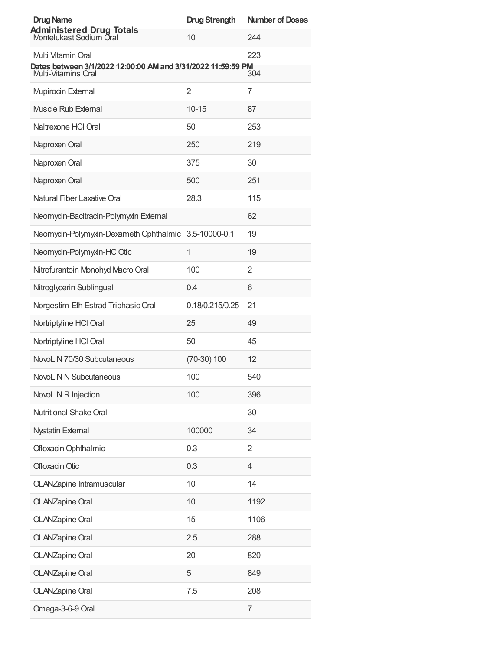| <b>Drug Name</b>                                                                                          | <b>Drug Strength</b> | <b>Number of Doses</b> |
|-----------------------------------------------------------------------------------------------------------|----------------------|------------------------|
| <b>Administered Drug Totals</b><br>Montelukast Sodium Oral                                                | 10                   | 244                    |
| Multi Vitamin Oral<br>Dates between 3/1/2022 12:00:00 AM and 3/31/2022 11:59:59 PM<br>Multi-Vitamins Oral |                      | 223<br>304             |
| <b>Mupirocin External</b>                                                                                 | $\overline{2}$       | 7                      |
| <b>Muscle Rub External</b>                                                                                | $10 - 15$            | 87                     |
| Naltrexone HCI Oral                                                                                       | 50                   | 253                    |
| Naproxen Oral                                                                                             | 250                  | 219                    |
| Naproxen Oral                                                                                             | 375                  | 30                     |
| Naproxen Oral                                                                                             | 500                  | 251                    |
| Natural Fiber Laxative Oral                                                                               | 28.3                 | 115                    |
| Neomycin-Bacitracin-Polymyxin External                                                                    |                      | 62                     |
| Neomycin-Polymyxin-Dexameth Ophthalmic 3.5-10000-0.1                                                      |                      | 19                     |
| Neomycin-Polymyxin-HC Otic                                                                                | 1                    | 19                     |
| Nitrofurantoin Monohyd Macro Oral                                                                         | 100                  | 2                      |
| Nitroglycerin Sublingual                                                                                  | 0.4                  | 6                      |
| Norgestim-Eth Estrad Triphasic Oral                                                                       | 0.18/0.215/0.25      | 21                     |
| Nortriptyline HCl Oral                                                                                    | 25                   | 49                     |
| Nortriptyline HCl Oral                                                                                    | 50                   | 45                     |
| NovoLIN 70/30 Subcutaneous                                                                                | $(70-30)$ 100        | 12                     |
| <b>NovoLIN N Subcutaneous</b>                                                                             | 100                  | 540                    |
| NovoLIN R Injection                                                                                       | 100                  | 396                    |
| Nutritional Shake Oral                                                                                    |                      | 30                     |
| <b>Nystatin External</b>                                                                                  | 100000               | 34                     |
| Ofloxacin Ophthalmic                                                                                      | 0.3                  | 2                      |
| Ofloxacin Otic                                                                                            | 0.3                  | 4                      |
| OLANZapine Intramuscular                                                                                  | 10                   | 14                     |
| <b>OLANZapine Oral</b>                                                                                    | 10                   | 1192                   |
| <b>OLANZapine Oral</b>                                                                                    | 15                   | 1106                   |
| <b>OLANZapine Oral</b>                                                                                    | 2.5                  | 288                    |
| <b>OLANZapine Oral</b>                                                                                    | 20                   | 820                    |
| <b>OLANZapine Oral</b>                                                                                    | 5                    | 849                    |
| <b>OLANZapine Oral</b>                                                                                    | 7.5                  | 208                    |
| Omega-3-6-9 Oral                                                                                          |                      | 7                      |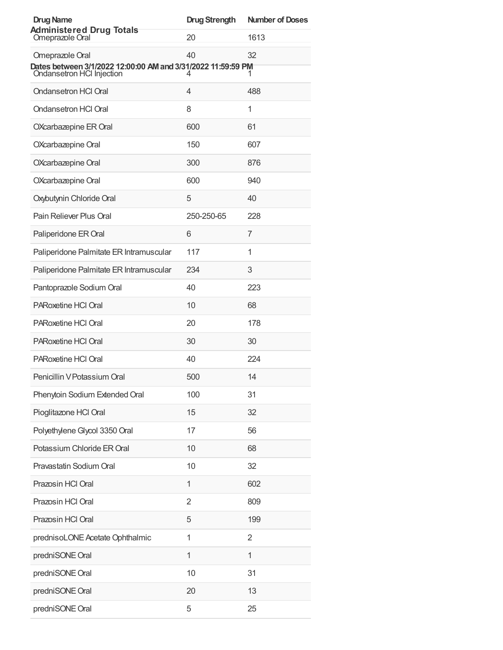| <b>Drug Name</b>                                                                                             | <b>Drug Strength</b> | <b>Number of Doses</b> |
|--------------------------------------------------------------------------------------------------------------|----------------------|------------------------|
| <b>Administered Drug Totals</b><br>Omeprazole Oral                                                           | 20                   | 1613                   |
| Omeprazole Oral<br>Dates between 3/1/2022 12:00:00 AM and 3/31/2022 11:59:59 PM<br>Ondansetron HCI Injection | 40<br>4              | 32<br>1                |
| Ondansetron HCl Oral                                                                                         | 4                    | 488                    |
| <b>Ondansetron HCI Oral</b>                                                                                  | 8                    | 1                      |
| OXcarbazepine ER Oral                                                                                        | 600                  | 61                     |
| OXcarbazepine Oral                                                                                           | 150                  | 607                    |
| OXcarbazepine Oral                                                                                           | 300                  | 876                    |
| OXcarbazepine Oral                                                                                           | 600                  | 940                    |
| Oxybutynin Chloride Oral                                                                                     | 5                    | 40                     |
| Pain Reliever Plus Oral                                                                                      | 250-250-65           | 228                    |
| Paliperidone ER Oral                                                                                         | 6                    | 7                      |
| Paliperidone Palmitate ER Intramuscular                                                                      | 117                  | 1                      |
| Paliperidone Palmitate ER Intramuscular                                                                      | 234                  | 3                      |
| Pantoprazole Sodium Oral                                                                                     | 40                   | 223                    |
| PARoxetine HCl Oral                                                                                          | 10                   | 68                     |
| PARoxetine HCI Oral                                                                                          | 20                   | 178                    |
| PARoxetine HCI Oral                                                                                          | 30                   | 30                     |
| PARoxetine HCI Oral                                                                                          | 40                   | 224                    |
| Penicillin V Potassium Oral                                                                                  | 500                  | 14                     |
| Phenytoin Sodium Extended Oral                                                                               | 100                  | 31                     |
| Pioglitazone HCl Oral                                                                                        | 15                   | 32                     |
| Polyethylene Glycol 3350 Oral                                                                                | 17                   | 56                     |
| Potassium Chloride ER Oral                                                                                   | 10                   | 68                     |
| Pravastatin Sodium Oral                                                                                      | 10                   | 32                     |
| Prazosin HCl Oral                                                                                            | 1                    | 602                    |
| Prazosin HCl Oral                                                                                            | 2                    | 809                    |
| Prazosin HCl Oral                                                                                            | 5                    | 199                    |
| prednisoLONE Acetate Ophthalmic                                                                              | 1                    | 2                      |
| predniSONE Oral                                                                                              | 1                    | 1                      |
| predniSONE Oral                                                                                              | 10                   | 31                     |
| predniSONE Oral                                                                                              | 20                   | 13                     |
| predniSONE Oral                                                                                              | 5                    | 25                     |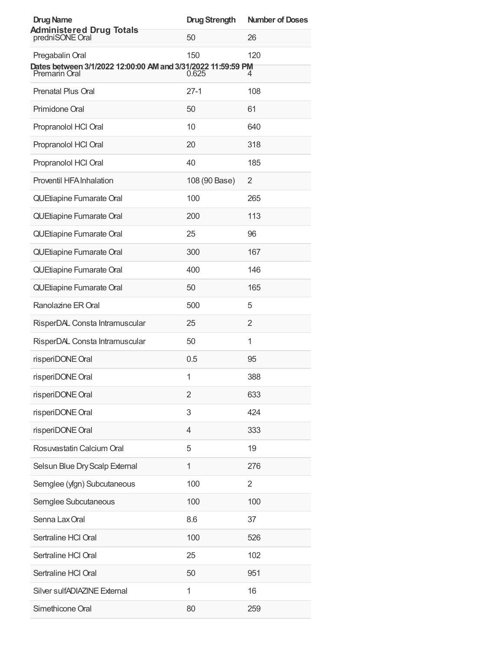| <b>Drug Name</b>                                                              | <b>Drug Strength</b> | <b>Number of Doses</b> |
|-------------------------------------------------------------------------------|----------------------|------------------------|
| <b>Administered Drug Totals</b><br>predniSONE Oral                            | 50                   | 26                     |
| Pregabalin Oral                                                               | 150                  | 120                    |
| Dates between 3/1/2022 12:00:00 AM and 3/31/2022 11:59:59 PM<br>Premarin Oral | 0.625                | 4                      |
| <b>Prenatal Plus Oral</b>                                                     | $27-1$               | 108                    |
| Primidone Oral                                                                | 50                   | 61                     |
| Propranolol HCl Oral                                                          | 10                   | 640                    |
| Propranolol HCl Oral                                                          | 20                   | 318                    |
| Propranolol HCl Oral                                                          | 40                   | 185                    |
| Proventil HFA Inhalation                                                      | 108 (90 Base)        | 2                      |
| QUEtiapine Fumarate Oral                                                      | 100                  | 265                    |
| QUEtiapine Fumarate Oral                                                      | 200                  | 113                    |
| QUEtiapine Fumarate Oral                                                      | 25                   | 96                     |
| QUEtiapine Fumarate Oral                                                      | 300                  | 167                    |
| QUEtiapine Fumarate Oral                                                      | 400                  | 146                    |
| QUEtiapine Fumarate Oral                                                      | 50                   | 165                    |
| Ranolazine ER Oral                                                            | 500                  | 5                      |
| RisperDAL Consta Intramuscular                                                | 25                   | 2                      |
| RisperDAL Consta Intramuscular                                                | 50                   | 1                      |
| risperiDONE Oral                                                              | 0.5                  | 95                     |
| risperiDONE Oral                                                              | 1                    | 388                    |
| risperiDONE Oral                                                              | 2                    | 633                    |
| risperiDONE Oral                                                              | 3                    | 424                    |
| risperiDONE Oral                                                              | $\overline{4}$       | 333                    |
| Rosuvastatin Calcium Oral                                                     | 5                    | 19                     |
| Selsun Blue Dry Scalp External                                                | $\mathbf 1$          | 276                    |
| Semglee (yfgn) Subcutaneous                                                   | 100                  | $\overline{2}$         |
| Semglee Subcutaneous                                                          | 100                  | 100                    |
| Senna Lax Oral                                                                | 8.6                  | 37                     |
| Sertraline HCl Oral                                                           | 100                  | 526                    |
| Sertraline HCl Oral                                                           | 25                   | 102                    |
| Sertraline HCl Oral                                                           | 50                   | 951                    |
| Silver sulfADIAZINE External                                                  | 1                    | 16                     |
| Simethicone Oral                                                              | 80                   | 259                    |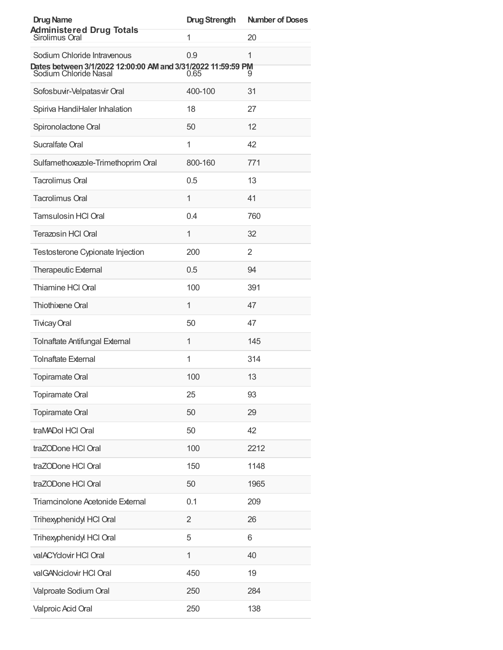| <b>Drug Name</b>                                                                                                     | <b>Drug Strength</b> | <b>Number of Doses</b> |
|----------------------------------------------------------------------------------------------------------------------|----------------------|------------------------|
| <b>Administered Drug Totals</b><br>Sirolimus Oral                                                                    | 1                    | 20                     |
| Sodium Chloride Intravenous<br>Dates between 3/1/2022 12:00:00 AM and 3/31/2022 11:59:59 PM<br>Sodium Chloride Nasal | 0.9<br>0.65          | 1<br>9                 |
| Sofosbuvir-Velpatasvir Oral                                                                                          | 400-100              | 31                     |
| Spiriva HandiHaler Inhalation                                                                                        | 18                   | 27                     |
| Spironolactone Oral                                                                                                  | 50                   | 12                     |
| Sucralfate Oral                                                                                                      | 1                    | 42                     |
| Sulfamethoxazole-Trimethoprim Oral                                                                                   | 800-160              | 771                    |
| <b>Tacrolimus Oral</b>                                                                                               | 0.5                  | 13                     |
| <b>Tacrolimus Oral</b>                                                                                               | 1                    | 41                     |
| <b>Tamsulosin HCI Oral</b>                                                                                           | 0.4                  | 760                    |
| <b>Terazosin HCI Oral</b>                                                                                            | 1                    | 32                     |
| Testosterone Cypionate Injection                                                                                     | 200                  | 2                      |
| <b>Therapeutic External</b>                                                                                          | 0.5                  | 94                     |
| Thiamine HCI Oral                                                                                                    | 100                  | 391                    |
| Thiothixene Oral                                                                                                     | 1                    | 47                     |
| <b>Tivicay Oral</b>                                                                                                  | 50                   | 47                     |
| <b>Tolnaftate Antifungal External</b>                                                                                | 1                    | 145                    |
| <b>Tolnaftate External</b>                                                                                           | 1                    | 314                    |
| <b>Topiramate Oral</b>                                                                                               | 100                  | 13                     |
| <b>Topiramate Oral</b>                                                                                               | 25                   | 93                     |
| <b>Topiramate Oral</b>                                                                                               | 50                   | 29                     |
| traMADol HCl Oral                                                                                                    | 50                   | 42                     |
| traZODone HCl Oral                                                                                                   | 100                  | 2212                   |
| traZODone HCl Oral                                                                                                   | 150                  | 1148                   |
| traZODone HCl Oral                                                                                                   | 50                   | 1965                   |
| Triamcinolone Acetonide External                                                                                     | 0.1                  | 209                    |
| Trihexyphenidyl HCl Oral                                                                                             | $\overline{2}$       | 26                     |
| Trihexyphenidyl HCl Oral                                                                                             | 5                    | 6                      |
| valACYclovir HCl Oral                                                                                                | 1                    | 40                     |
| valGANciclovir HCI Oral                                                                                              | 450                  | 19                     |
| Valproate Sodium Oral                                                                                                | 250                  | 284                    |
| Valproic Acid Oral                                                                                                   | 250                  | 138                    |